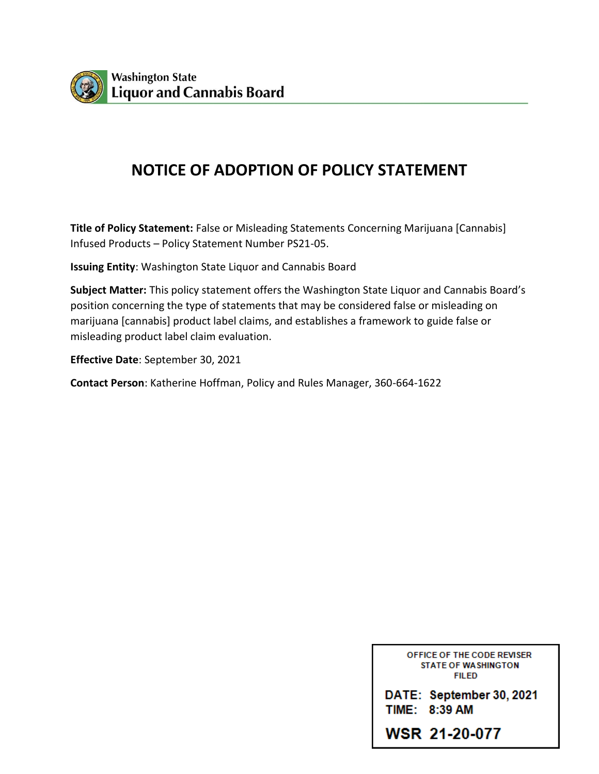

## **NOTICE OF ADOPTION OF POLICY STATEMENT**

**Title of Policy Statement:** False or Misleading Statements Concerning Marijuana [Cannabis] Infused Products – Policy Statement Number PS21-05.

**Issuing Entity**: Washington State Liquor and Cannabis Board

**Subject Matter:** This policy statement offers the Washington State Liquor and Cannabis Board's position concerning the type of statements that may be considered false or misleading on marijuana [cannabis] product label claims, and establishes a framework to guide false or misleading product label claim evaluation.

**Effective Date**: September 30, 2021

**Contact Person**: Katherine Hoffman, Policy and Rules Manager, 360-664-1622

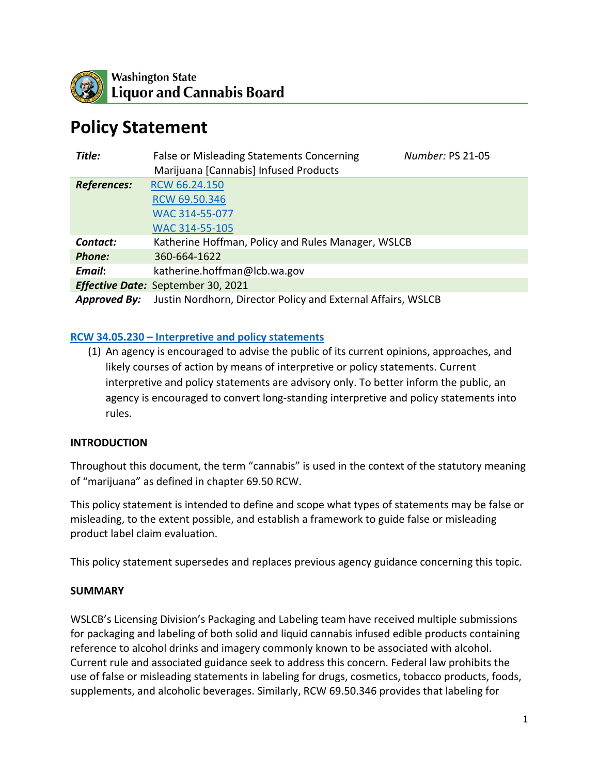

# **Policy Statement**

| Title:                                    | <b>False or Misleading Statements Concerning</b><br>Number: PS 21-05<br>Marijuana [Cannabis] Infused Products |
|-------------------------------------------|---------------------------------------------------------------------------------------------------------------|
| <b>References:</b>                        | RCW 66.24.150                                                                                                 |
|                                           | RCW 69.50.346                                                                                                 |
|                                           | WAC 314-55-077                                                                                                |
|                                           | WAC 314-55-105                                                                                                |
| Contact:                                  | Katherine Hoffman, Policy and Rules Manager, WSLCB                                                            |
| <b>Phone:</b>                             | 360-664-1622                                                                                                  |
| Email:                                    | katherine.hoffman@lcb.wa.gov                                                                                  |
| <b>Effective Date:</b> September 30, 2021 |                                                                                                               |
| <b>Approved By:</b>                       | Justin Nordhorn, Director Policy and External Affairs, WSLCB                                                  |

## **[RCW 34.05.230 – Interpretive and policy statements](https://app.leg.wa.gov/rcw/default.aspx?cite=34.05.230)**

(1) An agency is encouraged to advise the public of its current opinions, approaches, and likely courses of action by means of interpretive or policy statements. Current interpretive and policy statements are advisory only. To better inform the public, an agency is encouraged to convert long-standing interpretive and policy statements into rules.

## **INTRODUCTION**

Throughout this document, the term "cannabis" is used in the context of the statutory meaning of "marijuana" as defined in chapter 69.50 RCW.

This policy statement is intended to define and scope what types of statements may be false or misleading, to the extent possible, and establish a framework to guide false or misleading product label claim evaluation.

This policy statement supersedes and replaces previous agency guidance concerning this topic.

## **SUMMARY**

WSLCB's Licensing Division's Packaging and Labeling team have received multiple submissions for packaging and labeling of both solid and liquid cannabis infused edible products containing reference to alcohol drinks and imagery commonly known to be associated with alcohol. Current rule and associated guidance seek to address this concern. Federal law prohibits the use of false or misleading statements in labeling for drugs, cosmetics, tobacco products, foods, supplements, and alcoholic beverages. Similarly, RCW 69.50.346 provides that labeling for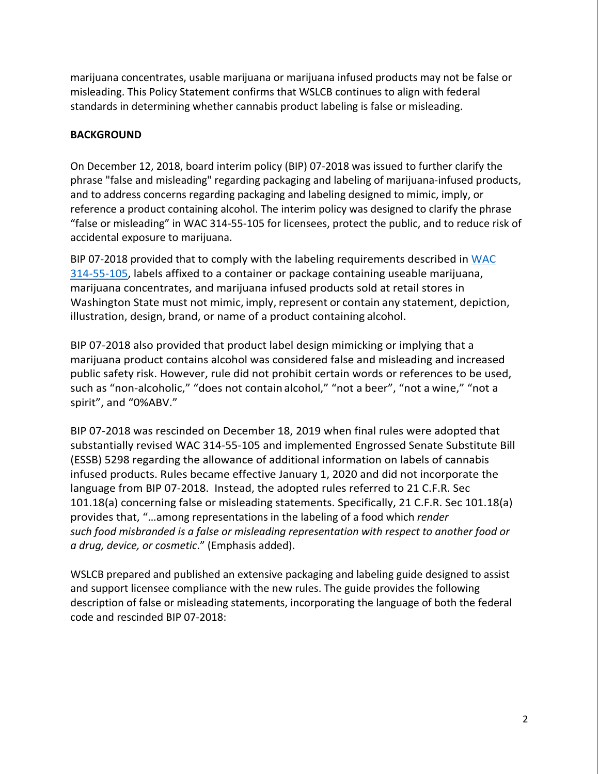marijuana concentrates, usable marijuana or marijuana infused products may not be false or misleading. This Policy Statement confirms that WSLCB continues to align with federal standards in determining whether cannabis product labeling is false or misleading.

## **BACKGROUND**

On December 12, 2018, board interim policy (BIP) 07-2018 was issued to further clarify the phrase "false and misleading" regarding packaging and labeling of marijuana-infused products, and to address concerns regarding packaging and labeling designed to mimic, imply, or reference a product containing alcohol. The interim policy was designed to clarify the phrase "false or misleading" in WAC 314-55-105 for licensees, protect the public, and to reduce risk of accidental exposure to marijuana.

BIP 07-2018 provided that to comply with the labeling requirements described in [WAC](https://apps.leg.wa.gov/wac/default.aspx?cite=314-55-105)  [314-55-105,](https://apps.leg.wa.gov/wac/default.aspx?cite=314-55-105) labels affixed to a container or package containing useable marijuana, marijuana concentrates, and marijuana infused products sold at retail stores in Washington State must not mimic, imply, represent or contain any statement, depiction, illustration, design, brand, or name of a product containing alcohol.

BIP 07-2018 also provided that product label design mimicking or implying that a marijuana product contains alcohol was considered false and misleading and increased public safety risk. However, rule did not prohibit certain words or references to be used, such as "non-alcoholic," "does not contain alcohol," "not a beer", "not a wine," "not a spirit", and "0%ABV."

BIP 07-2018 was rescinded on December 18, 2019 when final rules were adopted that substantially revised WAC 314-55-105 and implemented Engrossed Senate Substitute Bill (ESSB) 5298 regarding the allowance of additional information on labels of cannabis infused products. Rules became effective January 1, 2020 and did not incorporate the language from BIP 07-2018. Instead, the adopted rules referred to 21 C.F.R. Sec 101.18(a) concerning false or misleading statements. Specifically, 21 C.F.R. Sec 101.18(a) provides that, "…among representations in the labeling of a [food](https://www.law.cornell.edu/definitions/index.php?width=840&height=800&iframe=true&def_id=506bab99f1883af2ea2f10e8f8cf5837&term_occur=999&term_src=Title:21:Chapter:I:Subchapter:B:Part:101:Subpart:A:101.18) which *render such [food](https://www.law.cornell.edu/definitions/index.php?width=840&height=800&iframe=true&def_id=506bab99f1883af2ea2f10e8f8cf5837&term_occur=999&term_src=Title:21:Chapter:I:Subchapter:B:Part:101:Subpart:A:101.18) misbranded is a false or misleading representation with respect to another [food](https://www.law.cornell.edu/definitions/index.php?width=840&height=800&iframe=true&def_id=506bab99f1883af2ea2f10e8f8cf5837&term_occur=999&term_src=Title:21:Chapter:I:Subchapter:B:Part:101:Subpart:A:101.18) or a [drug,](https://www.law.cornell.edu/definitions/index.php?width=840&height=800&iframe=true&def_id=d7ecd01ad686b30d33b475f456d54261&term_occur=999&term_src=Title:21:Chapter:I:Subchapter:B:Part:101:Subpart:A:101.18) [device,](https://www.law.cornell.edu/definitions/index.php?width=840&height=800&iframe=true&def_id=76b961c3dbba87b5c5a97199620005d4&term_occur=999&term_src=Title:21:Chapter:I:Subchapter:B:Part:101:Subpart:A:101.18) or cosmetic*." (Emphasis added).

WSLCB prepared and published an extensive packaging and labeling guide designed to assist and support licensee compliance with the new rules. The guide provides the following description of false or misleading statements, incorporating the language of both the federal code and rescinded BIP 07-2018: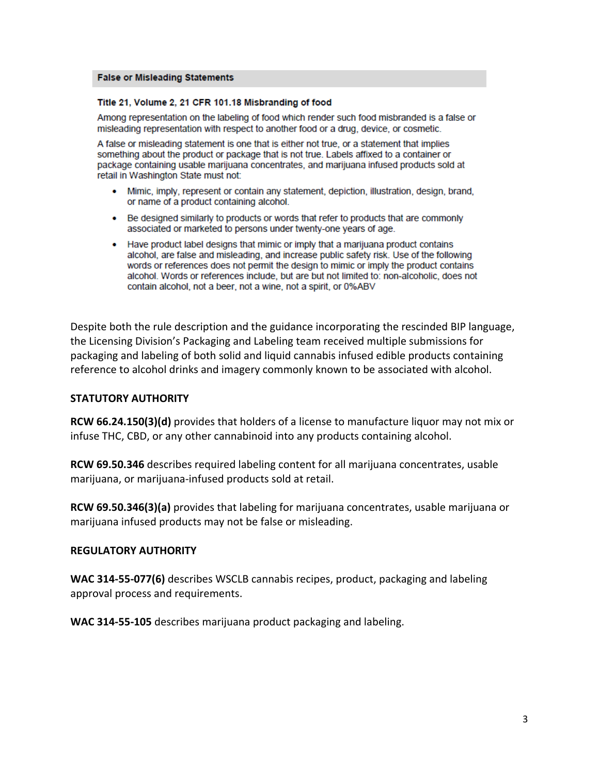#### **False or Misleading Statements**

#### Title 21, Volume 2, 21 CFR 101.18 Misbranding of food

Among representation on the labeling of food which render such food misbranded is a false or misleading representation with respect to another food or a drug, device, or cosmetic.

A false or misleading statement is one that is either not true, or a statement that implies something about the product or package that is not true. Labels affixed to a container or package containing usable marijuana concentrates, and marijuana infused products sold at retail in Washington State must not:

- Mimic, imply, represent or contain any statement, depiction, illustration, design, brand, or name of a product containing alcohol.
- Be designed similarly to products or words that refer to products that are commonly associated or marketed to persons under twenty-one years of age.
- Have product label designs that mimic or imply that a marijuana product contains alcohol, are false and misleading, and increase public safety risk. Use of the following words or references does not permit the design to mimic or imply the product contains alcohol. Words or references include, but are but not limited to: non-alcoholic, does not contain alcohol, not a beer, not a wine, not a spirit, or 0%ABV

Despite both the rule description and the guidance incorporating the rescinded BIP language, the Licensing Division's Packaging and Labeling team received multiple submissions for packaging and labeling of both solid and liquid cannabis infused edible products containing reference to alcohol drinks and imagery commonly known to be associated with alcohol.

#### **STATUTORY AUTHORITY**

**RCW 66.24.150(3)(d)** provides that holders of a license to manufacture liquor may not mix or infuse THC, CBD, or any other cannabinoid into any products containing alcohol.

**RCW 69.50.346** describes required labeling content for all marijuana concentrates, usable marijuana, or marijuana-infused products sold at retail.

**RCW 69.50.346(3)(a)** provides that labeling for marijuana concentrates, usable marijuana or marijuana infused products may not be false or misleading.

#### **REGULATORY AUTHORITY**

**WAC 314-55-077(6)** describes WSCLB cannabis recipes, product, packaging and labeling approval process and requirements.

**WAC 314-55-105** describes marijuana product packaging and labeling.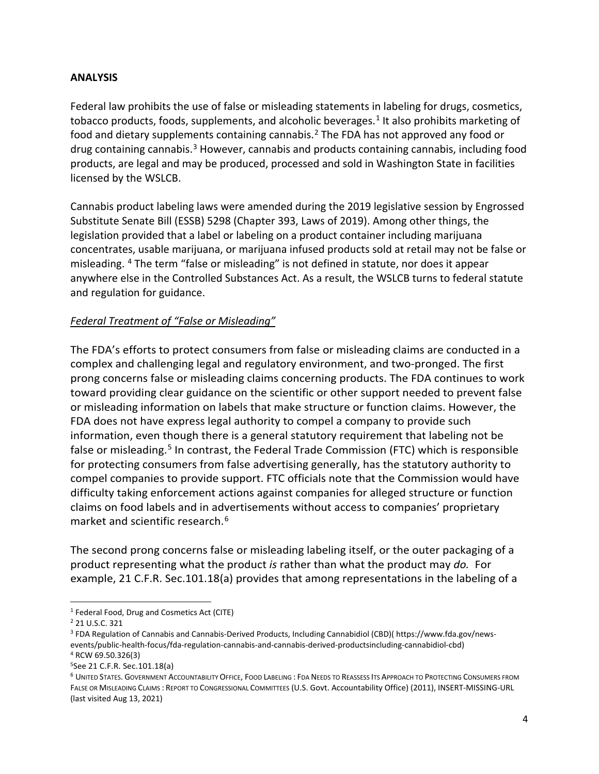## **ANALYSIS**

Federal law prohibits the use of false or misleading statements in labeling for drugs, cosmetics, tobacco products, foods, supplements, and alcoholic beverages.<sup>[1](#page-4-0)</sup> It also prohibits marketing of food and dietary supplements containing cannabis.<sup>[2](#page-4-1)</sup> The FDA has not approved any food or drug containing cannabis.<sup>[3](#page-4-2)</sup> However, cannabis and products containing cannabis, including food products, are legal and may be produced, processed and sold in Washington State in facilities licensed by the WSLCB.

Cannabis product labeling laws were amended during the 2019 legislative session by Engrossed Substitute Senate Bill (ESSB) 5298 (Chapter 393, Laws of 2019). Among other things, the legislation provided that a label or labeling on a product container including marijuana concentrates, usable marijuana, or marijuana infused products sold at retail may not be false or misleading. [4](#page-4-3) The term "false or misleading" is not defined in statute, nor does it appear anywhere else in the Controlled Substances Act. As a result, the WSLCB turns to federal statute and regulation for guidance.

## *Federal Treatment of "False or Misleading"*

The FDA's efforts to protect consumers from false or misleading claims are conducted in a complex and challenging legal and regulatory environment, and two-pronged. The first prong concerns false or misleading claims concerning products. The FDA continues to work toward providing clear guidance on the scientific or other support needed to prevent false or misleading information on labels that make structure or function claims. However, the FDA does not have express legal authority to compel a company to provide such information, even though there is a general statutory requirement that labeling not be false or misleading.<sup>[5](#page-4-4)</sup> In contrast, the Federal Trade Commission (FTC) which is responsible for protecting consumers from false advertising generally, has the statutory authority to compel companies to provide support. FTC officials note that the Commission would have difficulty taking enforcement actions against companies for alleged structure or function claims on food labels and in advertisements without access to companies' proprietary market and scientific research.[6](#page-4-5)

The second prong concerns false or misleading labeling itself, or the outer packaging of a product representing what the product *is* rather than what the product may *do.* For example, 21 C.F.R. Sec.101.18(a) provides that among representations in the labeling of a

<span id="page-4-0"></span> <sup>1</sup> Federal Food, Drug and Cosmetics Act (CITE)

<span id="page-4-1"></span><sup>2</sup> 21 U.S.C. 321

<span id="page-4-2"></span><sup>3</sup> FDA Regulation of Cannabis and Cannabis-Derived Products, Including Cannabidiol (CBD)( https://www.fda.gov/newsevents/public-health-focus/fda-regulation-cannabis-and-cannabis-derived-productsincluding-cannabidiol-cbd) <sup>4</sup> RCW 69.50.326(3)

<span id="page-4-4"></span><span id="page-4-3"></span><sup>5</sup>See 21 C.F.R. Sec.101.18(a)

<span id="page-4-5"></span><sup>6</sup> UNITED STATES. GOVERNMENT ACCOUNTABILITY OFFICE, FOOD LABELING : FDA NEEDS TO REASSESS ITS APPROACH TO PROTECTING CONSUMERS FROM FALSE OR MISLEADING CLAIMS : REPORT TO CONGRESSIONAL COMMITTEES (U.S. Govt. Accountability Office) (2011), INSERT-MISSING-URL (last visited Aug 13, 2021)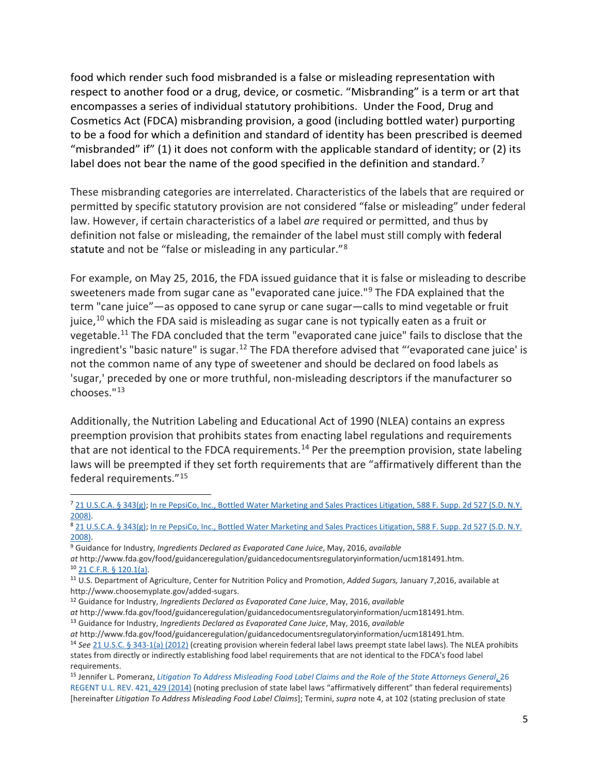food which render such food misbranded is a false or misleading representation with respect to another food or a drug, device, or cosmetic. "Misbranding" is a term or art that encompasses a series of individual statutory prohibitions. Under the Food, Drug and Cosmetics Act (FDCA) misbranding provision, a good (including bottled water) purporting to be a food for which a definition and standard of identity has been prescribed is deemed "misbranded" if" (1) it does not conform with the applicable standard of identity; or (2) its label does not bear the name of the good specified in the definition and standard.<sup>[7](#page-5-0)</sup>

These misbranding categories are interrelated. Characteristics of the labels that are required or permitted by specific statutory provision are not considered "false or misleading" under federal law. However, if certain characteristics of a label *are* required or permitted, and thus by definition not false or misleading, the remainder of the label must still comply with federal statute and not be "false or misleading in any particular."[8](#page-5-1)

For example, on May 25, 2016, the FDA issued guidance that it is false or misleading to describe sweeteners made from sugar cane as "evaporated cane juice."[9](#page-5-2) The FDA explained that the term "cane juice"—as opposed to cane syrup or cane sugar—calls to mind vegetable or fruit juice, $10$  which the FDA said is misleading as sugar cane is not typically eaten as a fruit or vegetable.[11](#page-5-4) The FDA concluded that the term "evaporated cane juice" fails to disclose that the ingredient's "basic nature" is sugar.<sup>[12](#page-5-5)</sup> The FDA therefore advised that "'evaporated cane juice' is not the common name of any type of sweetener and should be declared on food labels as 'sugar,' preceded by one or more truthful, non-misleading descriptors if the manufacturer so chooses."[13](#page-5-6)

Additionally, the Nutrition Labeling and Educational Act of 1990 (NLEA) contains an express preemption provision that prohibits states from enacting label regulations and requirements that are not identical to the FDCA requirements.<sup>[14](#page-5-7)</sup> Per the preemption provision, state labeling laws will be preempted if they set forth requirements that are "affirmatively different than the federal requirements."[15](#page-5-8)

<span id="page-5-5"></span><sup>12</sup> Guidance for Industry, *Ingredients Declared as Evaporated Cane Juice*, May, 2016, *available* 

<span id="page-5-0"></span> <sup>7</sup> [21 U.S.C.A. § 343\(g\);](https://1.next.westlaw.com/Link/Document/FullText?findType=L&pubNum=1000546&cite=21USCAS343&originatingDoc=Ia24c330acc9011d999c9dc2ba16a1874&refType=LQ&originationContext=document&transitionType=DocumentItem&ppcid=81bc422d61754386a36be3795e9573db&contextData=(sc.History*oc.Category)) [In re PepsiCo, Inc., Bottled Water Marketing and Sales Practices Litigation, 588 F. Supp. 2d 527 \(S.D. N.Y.](https://1.next.westlaw.com/Link/Document/FullText?findType=Y&serNum=2017615756&pubNum=0004637&originatingDoc=Ia24c330acc9011d999c9dc2ba16a1874&refType=RP&originationContext=document&transitionType=DocumentItem&ppcid=81bc422d61754386a36be3795e9573db&contextData=(sc.History*oc.Category))  [2008\).](https://1.next.westlaw.com/Link/Document/FullText?findType=Y&serNum=2017615756&pubNum=0004637&originatingDoc=Ia24c330acc9011d999c9dc2ba16a1874&refType=RP&originationContext=document&transitionType=DocumentItem&ppcid=81bc422d61754386a36be3795e9573db&contextData=(sc.History*oc.Category))

<span id="page-5-1"></span><sup>8</sup> [21 U.S.C.A. § 343\(g\);](https://1.next.westlaw.com/Link/Document/FullText?findType=L&pubNum=1000546&cite=21USCAS343&originatingDoc=Ia24c330acc9011d999c9dc2ba16a1874&refType=LQ&originationContext=document&transitionType=DocumentItem&ppcid=9f7adb7084a04a0cb7380bdb335c9711&contextData=(sc.History*oc.Category)) In re PepsiCo, Inc., Bottled Water Marketing and Sales Practices Litigation, 588 F. Supp. 2d 527 (S.D. N.Y. [2008\).](https://1.next.westlaw.com/Link/Document/FullText?findType=Y&serNum=2017615756&pubNum=0004637&originatingDoc=Ia24c330acc9011d999c9dc2ba16a1874&refType=RP&originationContext=document&transitionType=DocumentItem&ppcid=9f7adb7084a04a0cb7380bdb335c9711&contextData=(sc.History*oc.Category))

<span id="page-5-2"></span><sup>9</sup> Guidance for Industry, *Ingredients Declared as Evaporated Cane Juice*, May, 2016, *available* 

*at* http://www.fda.gov/food/guidanceregulation/guidancedocumentsregulatoryinformation/ucm181491.htm. <sup>10</sup> [21 C.F.R. § 120.1\(a\).](https://1.next.westlaw.com/Link/Document/FullText?findType=L&pubNum=1000547&cite=21CFRS120.1&originatingDoc=Ia24c330acc9011d999c9dc2ba16a1874&refType=LQ&originationContext=document&transitionType=DocumentItem&ppcid=81bc422d61754386a36be3795e9573db&contextData=(sc.History*oc.Category))

<span id="page-5-4"></span><span id="page-5-3"></span><sup>11</sup> U.S. Department of Agriculture, Center for Nutrition Policy and Promotion, *Added Sugars,* January 7,2016, available at http://www.choosemyplate.gov/added-sugars.

*at* http://www.fda.gov/food/guidanceregulation/guidancedocumentsregulatoryinformation/ucm181491.htm.

<span id="page-5-6"></span><sup>13</sup> Guidance for Industry, *Ingredients Declared as Evaporated Cane Juice*, May, 2016, *available* 

*at* http://www.fda.gov/food/guidanceregulation/guidancedocumentsregulatoryinformation/ucm181491.htm.

<span id="page-5-7"></span><sup>14</sup> *See* [21 U.S.C. § 343-1\(a\) \(2012\)](https://1.next.westlaw.com/Link/Document/FullText?findType=L&pubNum=1000546&cite=21USCAS343-1&originatingDoc=Ie33d34130ea511e698dc8b09b4f043e0&refType=RB&originationContext=document&transitionType=DocumentItem&contextData=(sc.Folder*cid.5443410ec7154049bcb7e5f6e18b5d31*oc.Search)#co_pp_8b3b0000958a4) (creating provision wherein federal label laws preempt state label laws). The NLEA prohibits states from directly or indirectly establishing food label requirements that are not identical to the FDCA's food label requirements.

<span id="page-5-8"></span><sup>15</sup> Jennifer L. Pomeranz, *[Litigation To Address Misleading Food Label Claims and the Role of the State Attorneys General](https://1.next.westlaw.com/Link/Document/FullText?findType=Y&serNum=0403044236&pubNum=0101877&originatingDoc=Ie33d34130ea511e698dc8b09b4f043e0&refType=LR&fi=co_pp_sp_101877_429&originationContext=document&transitionType=DocumentItem&contextData=(sc.Folder*cid.5443410ec7154049bcb7e5f6e18b5d31*oc.Search)#co_pp_sp_101877_429)*, 26 [REGENT U.L. REV. 421, 429 \(2014\)](https://1.next.westlaw.com/Link/Document/FullText?findType=Y&serNum=0403044236&pubNum=0101877&originatingDoc=Ie33d34130ea511e698dc8b09b4f043e0&refType=LR&fi=co_pp_sp_101877_429&originationContext=document&transitionType=DocumentItem&contextData=(sc.Folder*cid.5443410ec7154049bcb7e5f6e18b5d31*oc.Search)#co_pp_sp_101877_429) (noting preclusion of state label laws "affirmatively different" than federal requirements) [hereinafter *Litigation To Address Misleading Food Label Claims*]; Termini, *supra* note 4, at 102 (stating preclusion of state